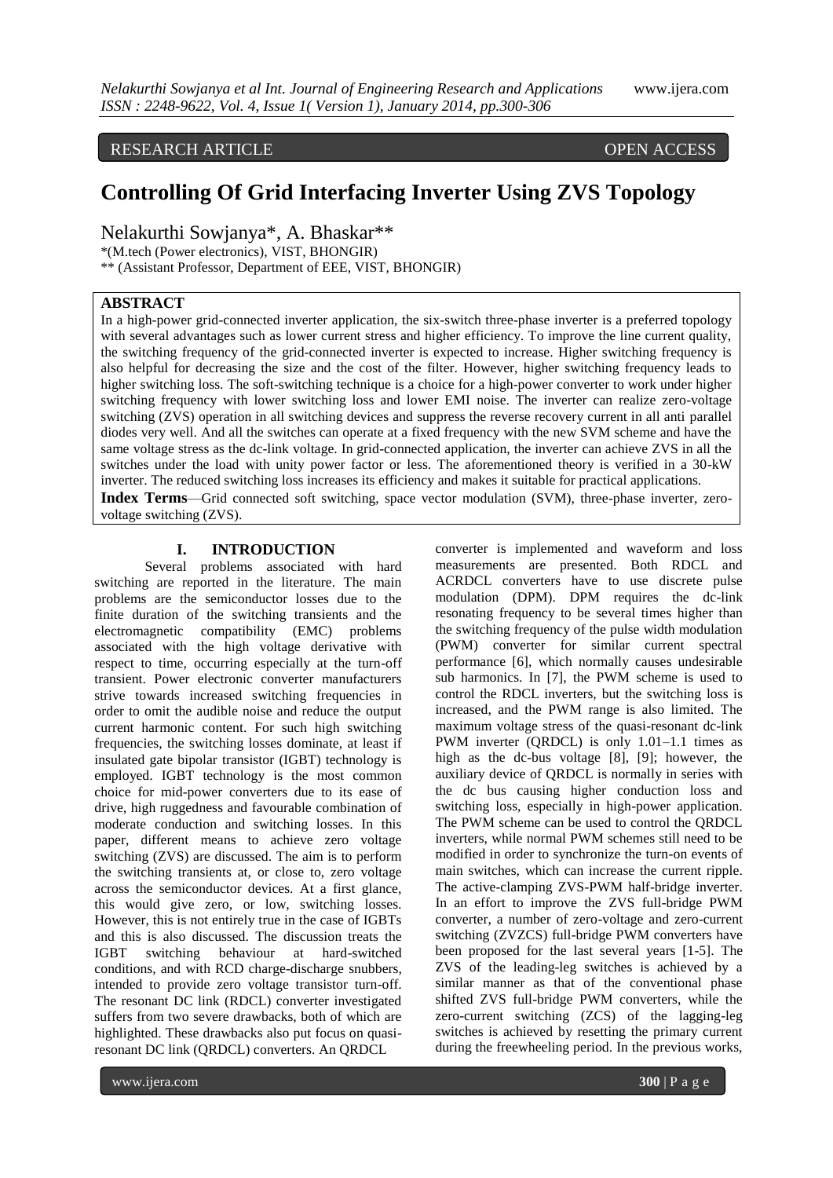RESEARCH ARTICLE OPEN ACCESS

# **Controlling Of Grid Interfacing Inverter Using ZVS Topology**

Nelakurthi Sowjanya\*, A. Bhaskar\*\*

\*(M.tech (Power electronics), VIST, BHONGIR)

\*\* (Assistant Professor, Department of EEE, VIST, BHONGIR)

## **ABSTRACT**

In a high-power grid-connected inverter application, the six-switch three-phase inverter is a preferred topology with several advantages such as lower current stress and higher efficiency. To improve the line current quality, the switching frequency of the grid-connected inverter is expected to increase. Higher switching frequency is also helpful for decreasing the size and the cost of the filter. However, higher switching frequency leads to higher switching loss. The soft-switching technique is a choice for a high-power converter to work under higher switching frequency with lower switching loss and lower EMI noise. The inverter can realize zero-voltage switching (ZVS) operation in all switching devices and suppress the reverse recovery current in all anti parallel diodes very well. And all the switches can operate at a fixed frequency with the new SVM scheme and have the same voltage stress as the dc-link voltage. In grid-connected application, the inverter can achieve ZVS in all the switches under the load with unity power factor or less. The aforementioned theory is verified in a 30-kW inverter. The reduced switching loss increases its efficiency and makes it suitable for practical applications. **Index Terms**—Grid connected soft switching, space vector modulation (SVM), three-phase inverter, zerovoltage switching (ZVS).

### **I. INTRODUCTION**

Several problems associated with hard switching are reported in the literature. The main problems are the semiconductor losses due to the finite duration of the switching transients and the electromagnetic compatibility (EMC) problems associated with the high voltage derivative with respect to time, occurring especially at the turn-off transient. Power electronic converter manufacturers strive towards increased switching frequencies in order to omit the audible noise and reduce the output current harmonic content. For such high switching frequencies, the switching losses dominate, at least if insulated gate bipolar transistor (IGBT) technology is employed. IGBT technology is the most common choice for mid-power converters due to its ease of drive, high ruggedness and favourable combination of moderate conduction and switching losses. In this paper, different means to achieve zero voltage switching (ZVS) are discussed. The aim is to perform the switching transients at, or close to, zero voltage across the semiconductor devices. At a first glance, this would give zero, or low, switching losses. However, this is not entirely true in the case of IGBTs and this is also discussed. The discussion treats the IGBT switching behaviour at hard-switched conditions, and with RCD charge-discharge snubbers, intended to provide zero voltage transistor turn-off. The resonant DC link (RDCL) converter investigated suffers from two severe drawbacks, both of which are highlighted. These drawbacks also put focus on quasiresonant DC link (QRDCL) converters. An QRDCL

measurements are presented. Both RDCL and ACRDCL converters have to use discrete pulse modulation (DPM). DPM requires the dc-link resonating frequency to be several times higher than the switching frequency of the pulse width modulation (PWM) converter for similar current spectral performance [6], which normally causes undesirable sub harmonics. In [7], the PWM scheme is used to control the RDCL inverters, but the switching loss is increased, and the PWM range is also limited. The maximum voltage stress of the quasi-resonant dc-link PWM inverter (QRDCL) is only 1.01–1.1 times as high as the dc-bus voltage [8], [9]; however, the auxiliary device of QRDCL is normally in series with the dc bus causing higher conduction loss and switching loss, especially in high-power application. The PWM scheme can be used to control the QRDCL inverters, while normal PWM schemes still need to be modified in order to synchronize the turn-on events of main switches, which can increase the current ripple. The active-clamping ZVS-PWM half-bridge inverter. In an effort to improve the ZVS full-bridge PWM converter, a number of zero-voltage and zero-current switching (ZVZCS) full-bridge PWM converters have been proposed for the last several years [1-5]. The ZVS of the leading-leg switches is achieved by a similar manner as that of the conventional phase shifted ZVS full-bridge PWM converters, while the zero-current switching (ZCS) of the lagging-leg switches is achieved by resetting the primary current during the freewheeling period. In the previous works,

converter is implemented and waveform and loss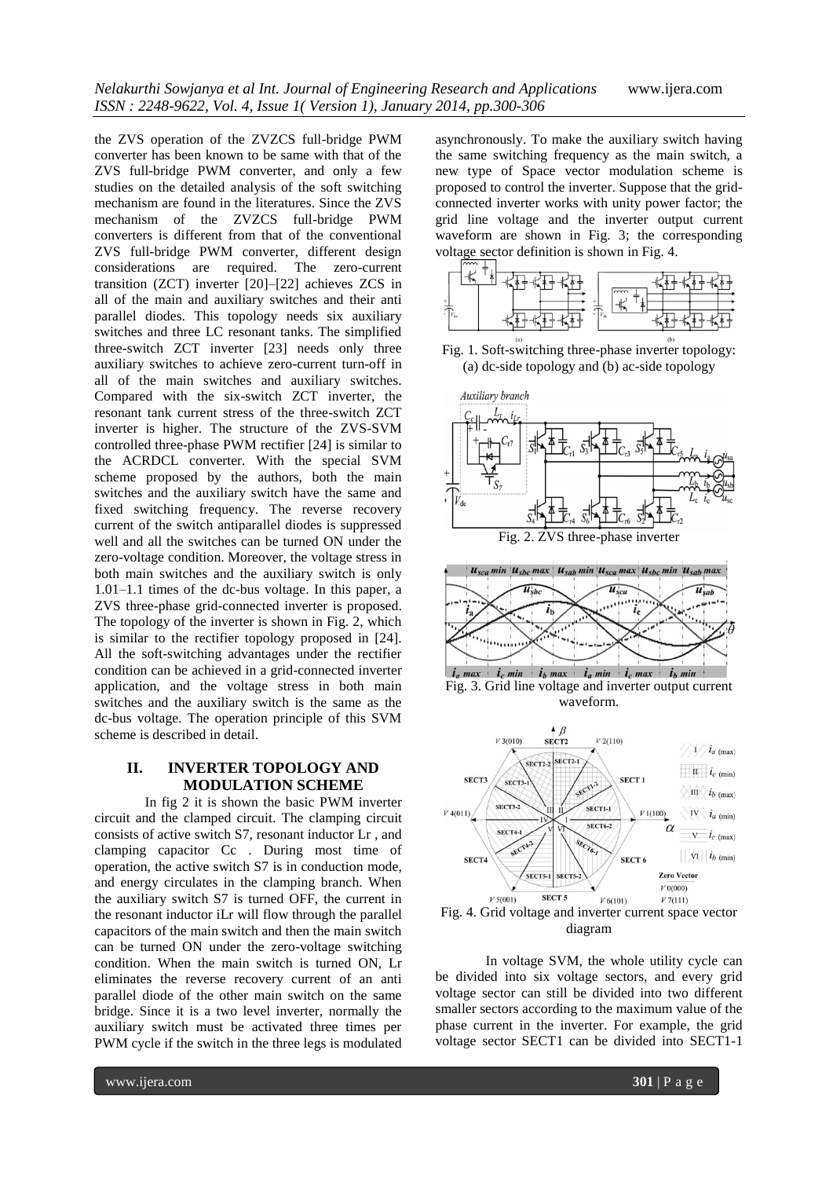the ZVS operation of the ZVZCS full-bridge PWM converter has been known to be same with that of the ZVS full-bridge PWM converter, and only a few studies on the detailed analysis of the soft switching mechanism are found in the literatures. Since the ZVS mechanism of the ZVZCS full-bridge PWM converters is different from that of the conventional ZVS full-bridge PWM converter, different design considerations are required. The zero-current transition (ZCT) inverter [20]–[22] achieves ZCS in all of the main and auxiliary switches and their anti parallel diodes. This topology needs six auxiliary switches and three LC resonant tanks. The simplified three-switch ZCT inverter [23] needs only three auxiliary switches to achieve zero-current turn-off in all of the main switches and auxiliary switches. Compared with the six-switch ZCT inverter, the resonant tank current stress of the three-switch ZCT inverter is higher. The structure of the ZVS-SVM controlled three-phase PWM rectifier [24] is similar to the ACRDCL converter. With the special SVM scheme proposed by the authors, both the main switches and the auxiliary switch have the same and fixed switching frequency. The reverse recovery current of the switch antiparallel diodes is suppressed well and all the switches can be turned ON under the zero-voltage condition. Moreover, the voltage stress in both main switches and the auxiliary switch is only 1.01–1.1 times of the dc-bus voltage. In this paper, a ZVS three-phase grid-connected inverter is proposed. The topology of the inverter is shown in Fig. 2, which is similar to the rectifier topology proposed in [24]. All the soft-switching advantages under the rectifier condition can be achieved in a grid-connected inverter application, and the voltage stress in both main switches and the auxiliary switch is the same as the dc-bus voltage. The operation principle of this SVM scheme is described in detail.

## **II. INVERTER TOPOLOGY AND MODULATION SCHEME**

In fig 2 it is shown the basic PWM inverter circuit and the clamped circuit. The clamping circuit consists of active switch S7, resonant inductor Lr , and clamping capacitor Cc . During most time of operation, the active switch S7 is in conduction mode, and energy circulates in the clamping branch. When the auxiliary switch S7 is turned OFF, the current in the resonant inductor iLr will flow through the parallel capacitors of the main switch and then the main switch can be turned ON under the zero-voltage switching condition. When the main switch is turned ON, Lr eliminates the reverse recovery current of an anti parallel diode of the other main switch on the same bridge. Since it is a two level inverter, normally the auxiliary switch must be activated three times per PWM cycle if the switch in the three legs is modulated asynchronously. To make the auxiliary switch having the same switching frequency as the main switch, a new type of Space vector modulation scheme is proposed to control the inverter. Suppose that the gridconnected inverter works with unity power factor; the grid line voltage and the inverter output current waveform are shown in Fig. 3; the corresponding













diagram

In voltage SVM, the whole utility cycle can be divided into six voltage sectors, and every grid voltage sector can still be divided into two different smaller sectors according to the maximum value of the phase current in the inverter. For example, the grid voltage sector SECT1 can be divided into SECT1-1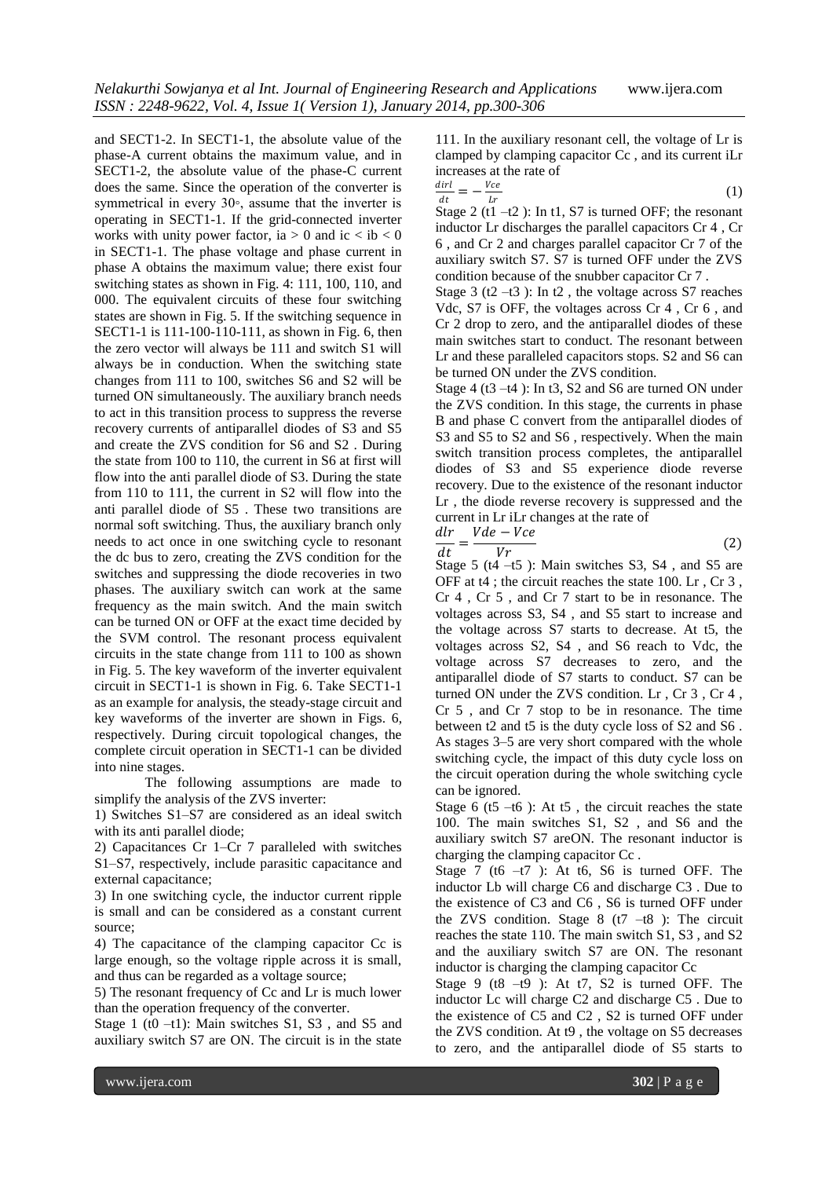and SECT1-2. In SECT1-1, the absolute value of the phase-A current obtains the maximum value, and in SECT1-2, the absolute value of the phase-C current does the same. Since the operation of the converter is symmetrical in every 30∘, assume that the inverter is operating in SECT1-1. If the grid-connected inverter works with unity power factor, ia  $> 0$  and ic  $<$  ib  $< 0$ in SECT1-1. The phase voltage and phase current in phase A obtains the maximum value; there exist four switching states as shown in Fig. 4: 111, 100, 110, and 000. The equivalent circuits of these four switching states are shown in Fig. 5. If the switching sequence in SECT1-1 is 111-100-110-111, as shown in Fig. 6, then the zero vector will always be 111 and switch S1 will always be in conduction. When the switching state changes from 111 to 100, switches S6 and S2 will be turned ON simultaneously. The auxiliary branch needs to act in this transition process to suppress the reverse recovery currents of antiparallel diodes of S3 and S5 and create the ZVS condition for S6 and S2 . During the state from 100 to 110, the current in S6 at first will flow into the anti parallel diode of S3. During the state from 110 to 111, the current in S2 will flow into the anti parallel diode of S5 . These two transitions are normal soft switching. Thus, the auxiliary branch only needs to act once in one switching cycle to resonant the dc bus to zero, creating the ZVS condition for the switches and suppressing the diode recoveries in two phases. The auxiliary switch can work at the same frequency as the main switch. And the main switch can be turned ON or OFF at the exact time decided by the SVM control. The resonant process equivalent circuits in the state change from 111 to 100 as shown in Fig. 5. The key waveform of the inverter equivalent circuit in SECT1-1 is shown in Fig. 6. Take SECT1-1 as an example for analysis, the steady-stage circuit and key waveforms of the inverter are shown in Figs. 6, respectively. During circuit topological changes, the complete circuit operation in SECT1-1 can be divided into nine stages.

The following assumptions are made to simplify the analysis of the ZVS inverter:

1) Switches S1–S7 are considered as an ideal switch with its anti parallel diode;

2) Capacitances Cr 1–Cr 7 paralleled with switches S1–S7, respectively, include parasitic capacitance and external capacitance;

3) In one switching cycle, the inductor current ripple is small and can be considered as a constant current source;

4) The capacitance of the clamping capacitor Cc is large enough, so the voltage ripple across it is small, and thus can be regarded as a voltage source;

5) The resonant frequency of Cc and Lr is much lower than the operation frequency of the converter.

Stage 1 (t0  $-t1$ ): Main switches S1, S3, and S5 and auxiliary switch S7 are ON. The circuit is in the state 111. In the auxiliary resonant cell, the voltage of Lr is clamped by clamping capacitor Cc , and its current iLr increases at the rate of

$$
\frac{dirl}{dt} = -\frac{Vce}{Lr} \tag{1}
$$

Stage 2 (t1  $-t2$ ): In t1, S7 is turned OFF; the resonant inductor Lr discharges the parallel capacitors Cr 4 , Cr 6 , and Cr 2 and charges parallel capacitor Cr 7 of the auxiliary switch S7. S7 is turned OFF under the ZVS condition because of the snubber capacitor Cr 7 .

Stage  $3$  (t2 –t3): In t2, the voltage across S7 reaches Vdc, S7 is OFF, the voltages across Cr 4 , Cr 6 , and Cr 2 drop to zero, and the antiparallel diodes of these main switches start to conduct. The resonant between Lr and these paralleled capacitors stops. S2 and S6 can be turned ON under the ZVS condition.

Stage  $4$  (t3 –t4): In t3, S2 and S6 are turned ON under the ZVS condition. In this stage, the currents in phase B and phase C convert from the antiparallel diodes of S3 and S5 to S2 and S6, respectively. When the main switch transition process completes, the antiparallel diodes of S3 and S5 experience diode reverse recovery. Due to the existence of the resonant inductor Lr , the diode reverse recovery is suppressed and the current in Lr iLr changes at the rate of

$$
\frac{dlr}{dt} = \frac{Vde - Vce}{Vr} \tag{2}
$$

Stage  $5$  (t4  $-$ t5): Main switches S3, S4, and S5 are OFF at t4 ; the circuit reaches the state 100. Lr , Cr 3 , Cr 4 , Cr 5 , and Cr 7 start to be in resonance. The voltages across S3, S4 , and S5 start to increase and the voltage across S7 starts to decrease. At t5, the voltages across S2, S4 , and S6 reach to Vdc, the voltage across S7 decreases to zero, and the antiparallel diode of S7 starts to conduct. S7 can be turned ON under the ZVS condition. Lr , Cr 3 , Cr 4 , Cr 5 , and Cr 7 stop to be in resonance. The time between t2 and t5 is the duty cycle loss of S2 and S6 . As stages 3–5 are very short compared with the whole switching cycle, the impact of this duty cycle loss on the circuit operation during the whole switching cycle can be ignored.

Stage  $6(15 -16)$ : At t5, the circuit reaches the state 100. The main switches S1, S2 , and S6 and the auxiliary switch S7 areON. The resonant inductor is charging the clamping capacitor Cc .

Stage 7 (t6  $-17$ ): At t6, S6 is turned OFF. The inductor Lb will charge C6 and discharge C3 . Due to the existence of C3 and C6 , S6 is turned OFF under the ZVS condition. Stage  $8(17 -18)$ : The circuit reaches the state 110. The main switch S1, S3 , and S2 and the auxiliary switch S7 are ON. The resonant inductor is charging the clamping capacitor Cc

Stage 9 (t8  $-$ t9 ): At t7, S2 is turned OFF. The inductor Lc will charge C2 and discharge C5 . Due to the existence of C5 and C2 , S2 is turned OFF under the ZVS condition. At t9 , the voltage on S5 decreases to zero, and the antiparallel diode of S5 starts to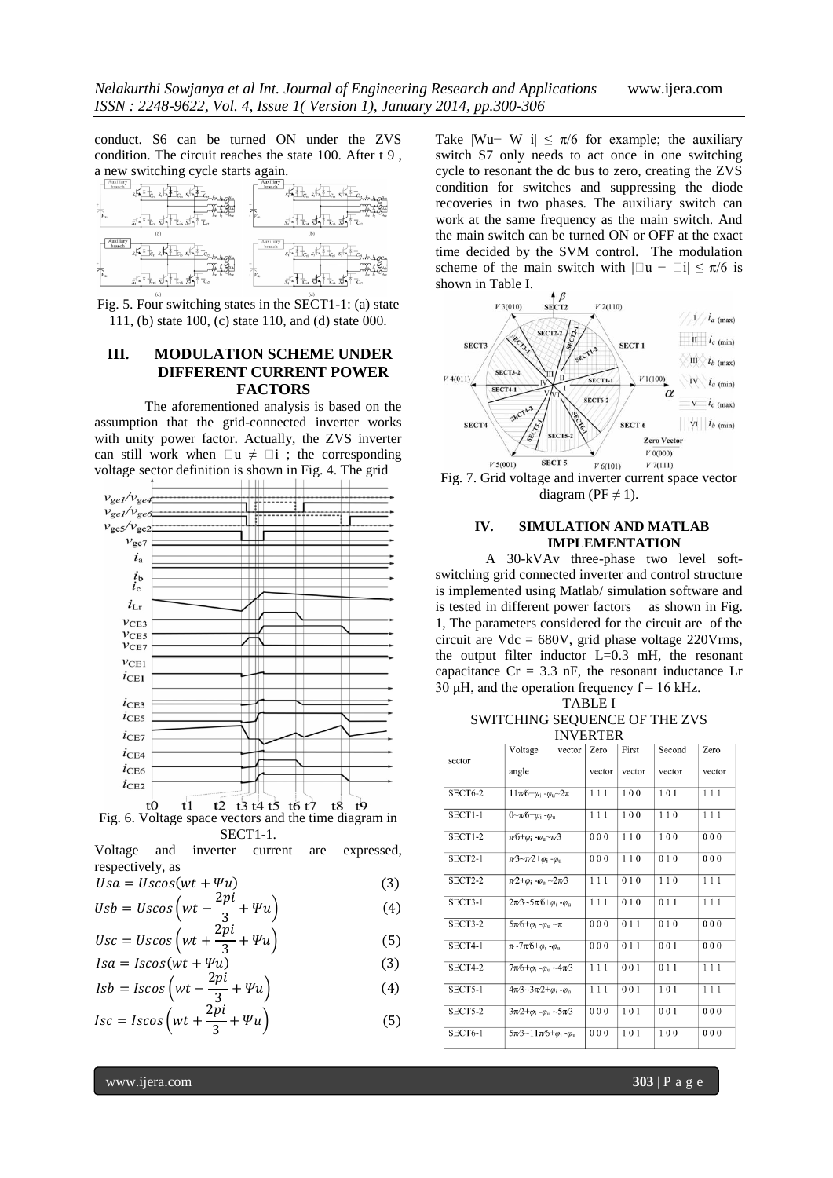conduct. S6 can be turned ON under the ZVS condition. The circuit reaches the state 100. After t 9 , a new switching cycle starts again.



Fig. 5. Four switching states in the SECT1-1: (a) state 111, (b) state 100, (c) state 110, and (d) state 000.

## **III. MODULATION SCHEME UNDER DIFFERENT CURRENT POWER FACTORS**

The aforementioned analysis is based on the assumption that the grid-connected inverter works with unity power factor. Actually, the ZVS inverter can still work when  $\Box u \neq \Box i$ ; the corresponding voltage sector definition is shown in Fig. 4. The grid



Fig. 6. Voltage space vectors and the time diagram in SECT1-1.

Voltage and inverter current are expressed, respectively, as

$$
Usa = Uscos(wt + \Psi u)
$$
\n(3)

$$
Usb = Uscos\left(wt - \frac{2pi}{3} + \Psi u\right)
$$
\n<sup>(4)</sup>

$$
Usc = Uscos\left(wt + \frac{2pi}{3} + \Psi u\right)
$$
\n
$$
Isa = Iscos(wt + \Psi u)
$$
\n(5)

$$
Isb = Iscos\left(wt - \frac{2pi}{3} + \Psi u\right)
$$
\n(4)

$$
Isc = Iscos\left(wt + \frac{2\pi i}{3} + \Psi u\right)
$$
 (5)

Take  $|Wu-W|$  i| ≤  $\pi/6$  for example; the auxiliary switch S7 only needs to act once in one switching cycle to resonant the dc bus to zero, creating the ZVS condition for switches and suppressing the diode recoveries in two phases. The auxiliary switch can work at the same frequency as the main switch. And the main switch can be turned ON or OFF at the exact time decided by the SVM control. The modulation scheme of the main switch with  $|\text{u} - \text{u}| \le \pi/6$  is shown in Table I.





### **IV. SIMULATION AND MATLAB IMPLEMENTATION**

A 30-kVAv three-phase two level softswitching grid connected inverter and control structure is implemented using Matlab/ simulation software and is tested in different power factors as shown in Fig. 1, The parameters considered for the circuit are of the circuit are  $Vdc = 680V$ , grid phase voltage 220 Vrms, the output filter inductor  $L=0.3$  mH, the resonant capacitance  $Cr = 3.3$  nF, the resonant inductance Lr 30  $\mu$ H, and the operation frequency  $f = 16$  kHz.

TABLE I

#### SWITCHING SEQUENCE OF THE ZVS INVERTER

|                | Voltage<br>vector                                                  | Zero   | First  | Second             | Zero   |
|----------------|--------------------------------------------------------------------|--------|--------|--------------------|--------|
| sector         | angle                                                              | vector | vector | vector             | vector |
| <b>SECT6-2</b> | $11\pi/6 + \varphi_i - \varphi_u - 2\pi$                           | 111    | 100    | 101                | 111    |
| <b>SECT1-1</b> | $0 - \pi/6 + \varphi_i - \varphi_u$                                | 111    | 100    | 110                | 111    |
| SECT1-2        | $\pi$ 6+ $\varphi$ <sub>i</sub> - $\varphi$ <sub>u</sub> ~ $\pi$ 3 | 000    | 110    | 100                | 000    |
| SECT2-1        | $\pi/3 \sim \pi/2 + \varphi_i - \varphi_u$                         | 000    | 110    | 010                | 000    |
| SECT2-2        | $\pi/2 + \varphi_i - \varphi_u \sim 2\pi/3$                        | 111    | 010    | 110                | 111    |
| SECT3-1        | $2\pi/3$ ~5 $\pi/6 + \varphi_i - \varphi_u$                        | 111    | 010    | 011                | 111    |
| SECT3-2        | $5\pi/6 + \omega_1 - \omega_0 \sim \pi$                            | 000    | 011    | 010                | 000    |
| <b>SECT4-1</b> | $\pi$ ~7 $\pi$ ⁄6+ $\varphi$ <sub>i</sub> - $\varphi$ <sub>u</sub> | 000    | 011    | 001                | 000    |
| SECT4-2        | $7\pi/6 + \varphi_i - \varphi_u \sim 4\pi/3$                       | 111    | 001    | 011                | 111    |
| SECT5-1        | $4\pi/3 - 3\pi/2 + \varphi_i - \varphi_u$                          | 111    | 001    | $\overline{1}$ 0 1 | 111    |
| SECT5-2        | $3\pi/2 + \varphi_i - \varphi_u \sim 5\pi/3$                       | 000    | 101    | 001                | 000    |
| SECT6-1        | $5\pi/3$ ~11 $\pi/6 + \varphi_i - \varphi_u$                       | 000    | 101    | 100                | 000    |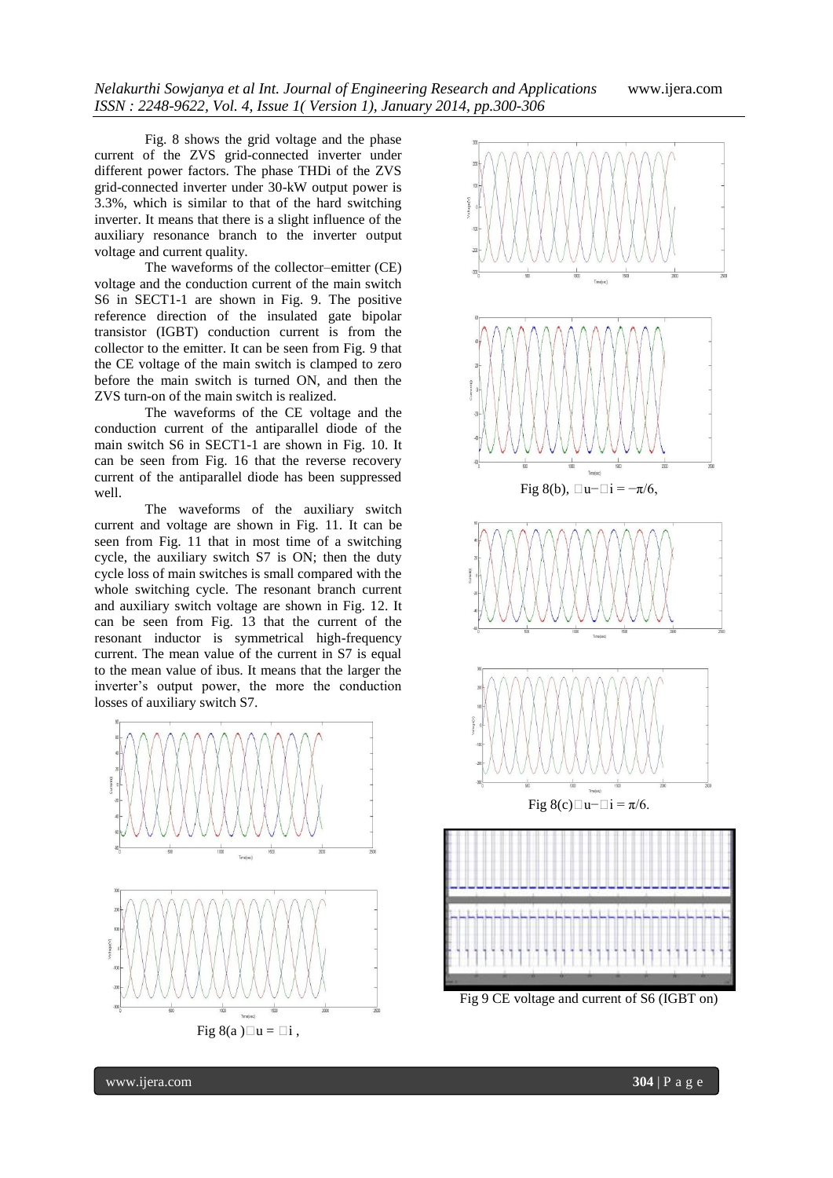Fig. 8 shows the grid voltage and the phase current of the ZVS grid-connected inverter under different power factors. The phase THDi of the ZVS grid-connected inverter under 30-kW output power is 3.3%, which is similar to that of the hard switching inverter. It means that there is a slight influence of the auxiliary resonance branch to the inverter output voltage and current quality.

The waveforms of the collector–emitter (CE) voltage and the conduction current of the main switch S6 in SECT1-1 are shown in Fig. 9. The positive reference direction of the insulated gate bipolar transistor (IGBT) conduction current is from the collector to the emitter. It can be seen from Fig. 9 that the CE voltage of the main switch is clamped to zero before the main switch is turned ON, and then the ZVS turn-on of the main switch is realized.

The waveforms of the CE voltage and the conduction current of the antiparallel diode of the main switch S6 in SECT1-1 are shown in Fig. 10. It can be seen from Fig. 16 that the reverse recovery current of the antiparallel diode has been suppressed well.

The waveforms of the auxiliary switch current and voltage are shown in Fig. 11. It can be seen from Fig. 11 that in most time of a switching cycle, the auxiliary switch S7 is ON; then the duty cycle loss of main switches is small compared with the whole switching cycle. The resonant branch current and auxiliary switch voltage are shown in Fig. 12. It can be seen from Fig. 13 that the current of the resonant inductor is symmetrical high-frequency current. The mean value of the current in S7 is equal to the mean value of ibus. It means that the larger the inverter's output power, the more the conduction losses of auxiliary switch S7.



Fig 8(a) $\Box$ u =  $\Box$ i,



Fig 9 CE voltage and current of S6 (IGBT on)

www.ijera.com **304** | P a g e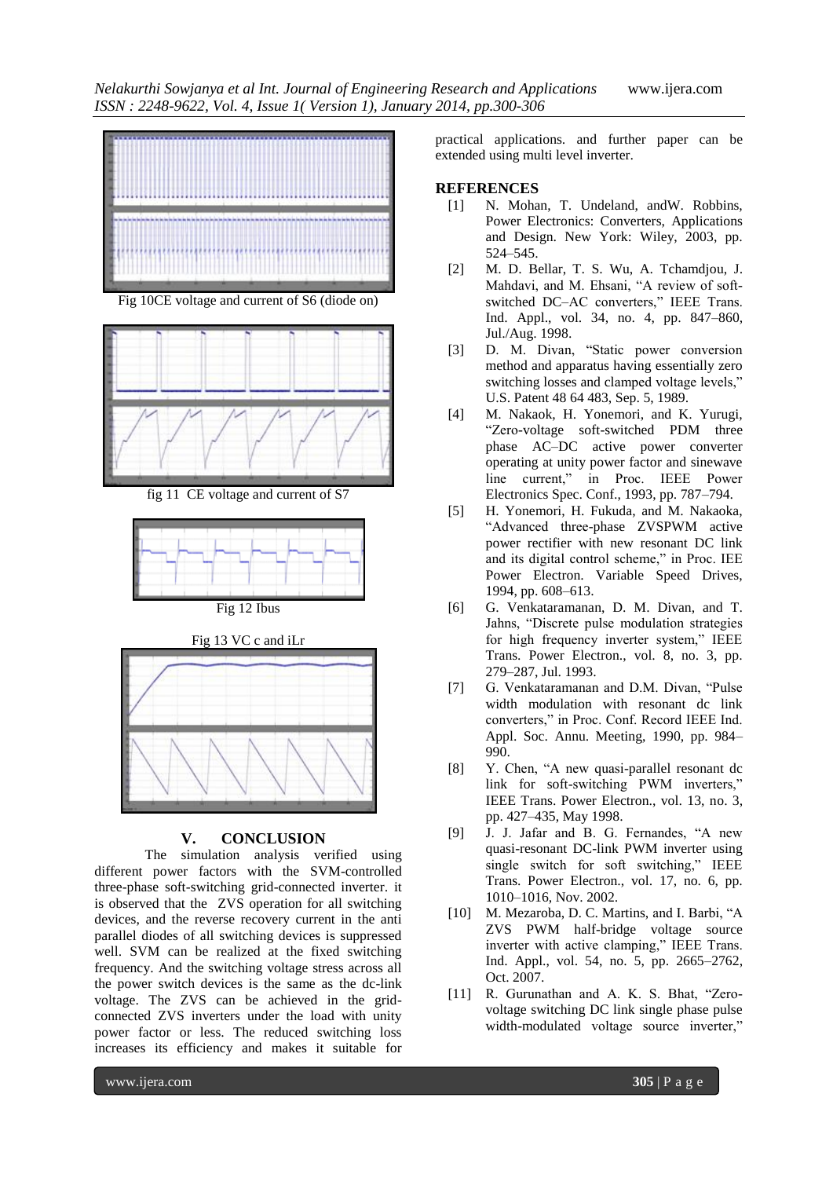

Fig 10CE voltage and current of S6 (diode on)









## **V. CONCLUSION**

The simulation analysis verified using different power factors with the SVM-controlled three-phase soft-switching grid-connected inverter. it is observed that the ZVS operation for all switching devices, and the reverse recovery current in the anti parallel diodes of all switching devices is suppressed well. SVM can be realized at the fixed switching frequency. And the switching voltage stress across all the power switch devices is the same as the dc-link voltage. The ZVS can be achieved in the gridconnected ZVS inverters under the load with unity power factor or less. The reduced switching loss increases its efficiency and makes it suitable for

practical applications. and further paper can be extended using multi level inverter.

#### **REFERENCES**

- [1] N. Mohan, T. Undeland, andW. Robbins, Power Electronics: Converters, Applications and Design. New York: Wiley, 2003, pp. 524–545.
- [2] M. D. Bellar, T. S. Wu, A. Tchamdjou, J. Mahdavi, and M. Ehsani, "A review of softswitched DC–AC converters," IEEE Trans. Ind. Appl., vol. 34, no. 4, pp. 847–860, Jul./Aug. 1998.
- [3] D. M. Divan, "Static power conversion method and apparatus having essentially zero switching losses and clamped voltage levels," U.S. Patent 48 64 483, Sep. 5, 1989.
- [4] M. Nakaok, H. Yonemori, and K. Yurugi, ―Zero-voltage soft-switched PDM three phase AC–DC active power converter operating at unity power factor and sinewave line current," in Proc. IEEE Power Electronics Spec. Conf., 1993, pp. 787–794.
- [5] H. Yonemori, H. Fukuda, and M. Nakaoka, "Advanced three-phase ZVSPWM active power rectifier with new resonant DC link and its digital control scheme," in Proc. IEE Power Electron. Variable Speed Drives, 1994, pp. 608–613.
- [6] G. Venkataramanan, D. M. Divan, and T. Jahns, "Discrete pulse modulation strategies for high frequency inverter system," IEEE Trans. Power Electron., vol. 8, no. 3, pp. 279–287, Jul. 1993.
- [7] G. Venkataramanan and D.M. Divan, "Pulse width modulation with resonant dc link converters," in Proc. Conf. Record IEEE Ind. Appl. Soc. Annu. Meeting, 1990, pp. 984– 990.
- [8] Y. Chen, "A new quasi-parallel resonant dc link for soft-switching PWM inverters," IEEE Trans. Power Electron., vol. 13, no. 3, pp. 427–435, May 1998.
- [9] J. J. Jafar and B. G. Fernandes, "A new quasi-resonant DC-link PWM inverter using single switch for soft switching," IEEE Trans. Power Electron., vol. 17, no. 6, pp. 1010–1016, Nov. 2002.
- [10] M. Mezaroba, D. C. Martins, and I. Barbi, "A ZVS PWM half-bridge voltage source inverter with active clamping," IEEE Trans. Ind. Appl., vol. 54, no. 5, pp. 2665–2762, Oct. 2007.
- [11] R. Gurunathan and A. K. S. Bhat, "Zerovoltage switching DC link single phase pulse width-modulated voltage source inverter,"